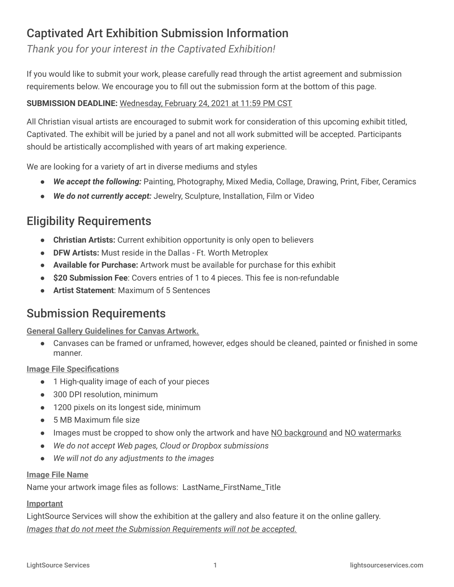# Captivated Art Exhibition Submission Information

*Thank you for your interest in the Captivated Exhibition!*

If you would like to submit your work, please carefully read through the artist agreement and submission requirements below. We encourage you to fill out the submission form at the bottom of this page.

### **SUBMISSION DEADLINE:** Wednesday, February 24, 2021 at 11:59 PM CST

All Christian visual artists are encouraged to submit work for consideration of this upcoming exhibit titled, Captivated. The exhibit will be juried by a panel and not all work submitted will be accepted. Participants should be artistically accomplished with years of art making experience.

We are looking for a variety of art in diverse mediums and styles

- *We accept the following:* Painting, Photography, Mixed Media, Collage, Drawing, Print, Fiber, Ceramics
- *We do not currently accept:* Jewelry, Sculpture, Installation, Film or Video

# Eligibility Requirements

- **Christian Artists:** Current exhibition opportunity is only open to believers
- **DFW Artists:** Must reside in the Dallas Ft. Worth Metroplex
- **Available for Purchase:** Artwork must be available for purchase for this exhibit
- **\$20 Submission Fee**: Covers entries of 1 to 4 pieces. This fee is non-refundable
- **Artist Statement**: Maximum of 5 Sentences

## Submission Requirements

**General Gallery Guidelines for Canvas Artwork.**

● Canvases can be framed or unframed, however, edges should be cleaned, painted or finished in some manner.

**Image File Specifications**

- 1 High-quality image of each of your pieces
- 300 DPI resolution, minimum
- 1200 pixels on its longest side, minimum
- 5 MB Maximum file size
- Images must be cropped to show only the artwork and have NO background and NO watermarks
- *● We do not accept Web pages, Cloud or Dropbox submissions*
- *● We will not do any adjustments to the images*

### **Image File Name**

Name your artwork image files as follows: LastName\_FirstName\_Title

### **Important**

LightSource Services will show the exhibition at the gallery and also feature it on the online gallery. *Images that do not meet the Submission Requirements will not be accepted.*